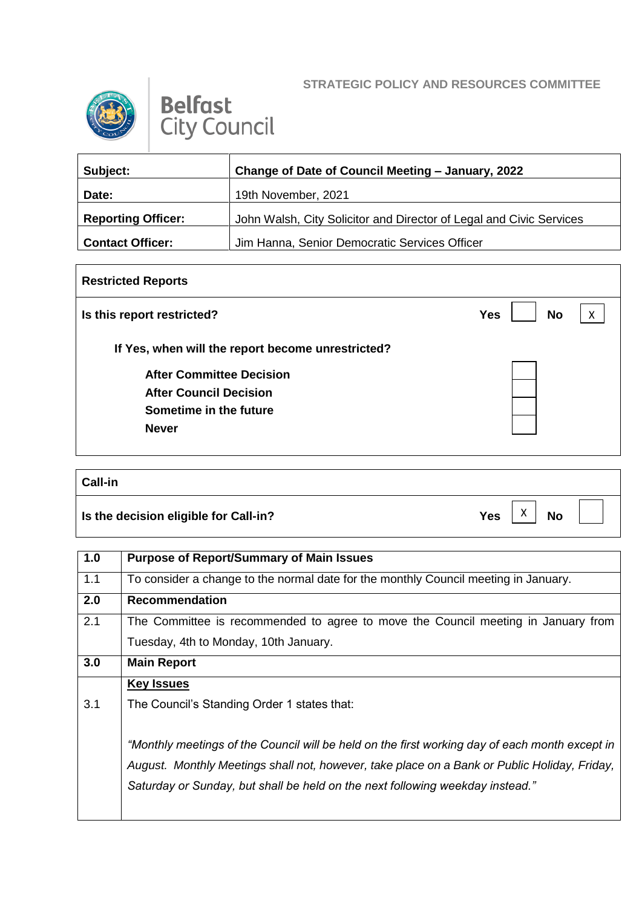## **STRATEGIC POLICY AND RESOURCES COMMITTEE**



## **Belfast City Council**

| Subject:                  | Change of Date of Council Meeting - January, 2022                   |  |
|---------------------------|---------------------------------------------------------------------|--|
| Date:                     | 19th November, 2021                                                 |  |
| <b>Reporting Officer:</b> | John Walsh, City Solicitor and Director of Legal and Civic Services |  |
| <b>Contact Officer:</b>   | Jim Hanna, Senior Democratic Services Officer                       |  |

| <b>Restricted Reports</b>                         |                              |  |
|---------------------------------------------------|------------------------------|--|
| Is this report restricted?                        | <b>No</b><br><b>Yes</b><br>X |  |
| If Yes, when will the report become unrestricted? |                              |  |
| <b>After Committee Decision</b>                   |                              |  |
| <b>After Council Decision</b>                     |                              |  |
| Sometime in the future                            |                              |  |
| <b>Never</b>                                      |                              |  |
|                                                   |                              |  |

## **Call-in**

**Is the decision eligible for Call-in?** No  $Yes \begin{bmatrix} X \\ Y \end{bmatrix}$  No

X

**1.0 Purpose of Report/Summary of Main Issues** 1.1 To consider a change to the normal date for the monthly Council meeting in January. **2.0 Recommendation** 2.1 The Committee is recommended to agree to move the Council meeting in January from Tuesday, 4th to Monday, 10th January. **3.0 Main Report** 3.1 **Key Issues** The Council's Standing Order 1 states that: *"Monthly meetings of the Council will be held on the first working day of each month except in August. Monthly Meetings shall not, however, take place on a Bank or Public Holiday, Friday, Saturday or Sunday, but shall be held on the next following weekday instead."*